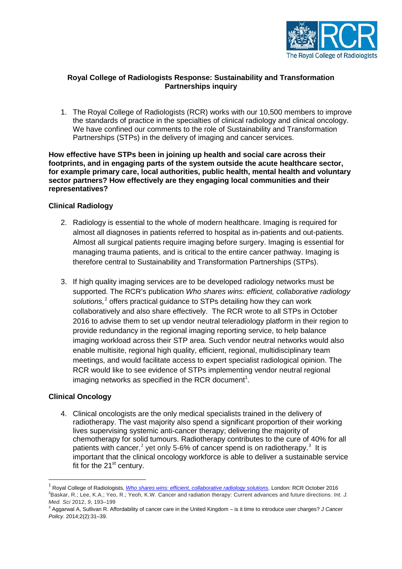

## **Royal College of Radiologists Response: Sustainability and Transformation Partnerships inquiry**

1. The Royal College of Radiologists (RCR) works with our 10,500 members to improve the standards of practice in the specialties of clinical radiology and clinical oncology. We have confined our comments to the role of Sustainability and Transformation Partnerships (STPs) in the delivery of imaging and cancer services.

**How effective have STPs been in joining up health and social care across their footprints, and in engaging parts of the system outside the acute healthcare sector, for example primary care, local authorities, public health, mental health and voluntary sector partners? How effectively are they engaging local communities and their representatives?**

## **Clinical Radiology**

- 2. Radiology is essential to the whole of modern healthcare. Imaging is required for almost all diagnoses in patients referred to hospital as in-patients and out-patients. Almost all surgical patients require imaging before surgery. Imaging is essential for managing trauma patients, and is critical to the entire cancer pathway. Imaging is therefore central to Sustainability and Transformation Partnerships (STPs).
- 3. If high quality imaging services are to be developed radiology networks must be supported. The RCR's publication *Who shares wins: efficient, collaborative radiology solutions,[1](#page-0-0)* offers practical guidance to STPs detailing how they can work collaboratively and also share effectively. The RCR wrote to all STPs in October 2016 to advise them to set up vendor neutral teleradiology platform in their region to provide redundancy in the regional imaging reporting service, to help balance imaging workload across their STP area. Such vendor neutral networks would also enable multisite, regional high quality, efficient, regional, multidisciplinary team meetings, and would facilitate access to expert specialist radiological opinion. The RCR would like to see evidence of STPs implementing vendor neutral regional imaging networks as specified in the RCR document<sup>1</sup>.

## **Clinical Oncology**

4. Clinical oncologists are the only medical specialists trained in the delivery of radiotherapy. The vast majority also spend a significant proportion of their working lives supervising systemic anti-cancer therapy; delivering the majority of chemotherapy for solid tumours. Radiotherapy contributes to the cure of 40% for all patients with cancer,<sup>[2](#page-0-1)</sup> yet only 5-6% of cancer spend is on radiotherapy.<sup>[3](#page-0-2)</sup> It is important that the clinical oncology workforce is able to deliver a sustainable service fit for the  $21<sup>st</sup>$  century.

<span id="page-0-1"></span><span id="page-0-0"></span> <sup>1</sup> Royal College of Radiologists, *[Who shares wins: efficient, collaborative radiology solutions](https://www.rcr.ac.uk/system/files/publication/field_publication_files/rcr164_who-shares-wins.pdf)*, London: RCR October 2016 **2** Baskar, R.; Lee, K.A.; Yeo, R.; Yeoh, K.W. Cancer and radiation therapy: Current advances and future directions. *Int. J. Med. Sci* 2012, *9*, 193–199

<span id="page-0-2"></span><sup>3</sup> Aggarwal A, Sullivan R. Affordability of cancer care in the United Kingdom – is it time to introduce user charges? *J Cancer Policy*. 2014;2(2):31–39.